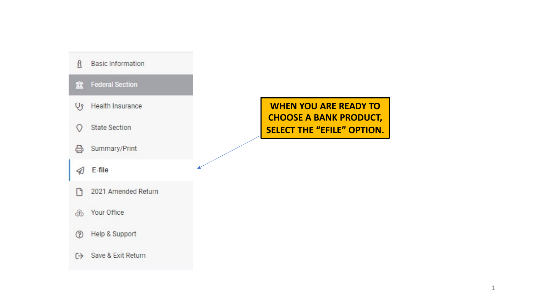

**WHEN YOU ARE READY TO CHOOSE A BANK PRODUCT, SELECT THE "EFILE" OPTION.**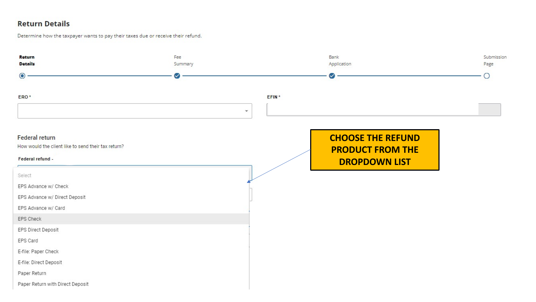### **Return Details**

#### Determine how the taxpayer wants to pay their taxes due or receive their refund.

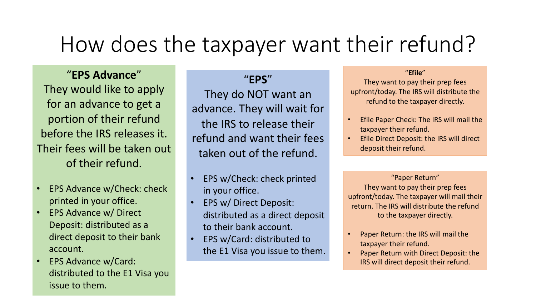# How does the taxpayer want their refund?

## "**EPS Advance**"

They would like to apply for an advance to get a portion of their refund before the IRS releases it. Their fees will be taken out of their refund.

- EPS Advance w/Check: check printed in your office.
- EPS Advance w/ Direct Deposit: distributed as a direct deposit to their bank account.
- EPS Advance w/Card: distributed to the E1 Visa you issue to them.

# "**EPS**"

They do NOT want an advance. They will wait for the IRS to release their refund and want their fees taken out of the refund.

- EPS w/Check: check printed in your office.
- EPS w/ Direct Deposit: distributed as a direct deposit to their bank account.
- EPS w/Card: distributed to the E1 Visa you issue to them.

#### "**Efile**"

They want to pay their prep fees upfront/today. The IRS will distribute the refund to the taxpayer directly.

- Efile Paper Check: The IRS will mail the taxpayer their refund.
- Efile Direct Deposit: the IRS will direct deposit their refund.

"Paper Return" They want to pay their prep fees upfront/today. The taxpayer will mail their return. The IRS will distribute the refund to the taxpayer directly.

- Paper Return: the IRS will mail the taxpayer their refund.
- Paper Return with Direct Deposit: the IRS will direct deposit their refund.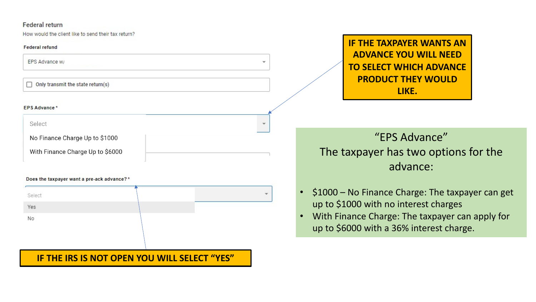#### Federal return

How would the client like to send their tax return?

#### **Federal refund**

EPS Advance w/

 $\Box$  Only transmit the state return(s)

#### **EPS Advance\***

Select

No Finance Charge Up to \$1000

With Finance Charge Up to \$6000

#### Does the taxpayer want a pre-ack advance?\*



### **IF THE IRS IS NOT OPEN YOU WILL SELECT "YES"**

**IF THE TAXPAYER WANTS AN ADVANCE YOU WILL NEED TO SELECT WHICH ADVANCE PRODUCT THEY WOULD LIKE.**

# "EPS Advance" The taxpayer has two options for the advance:

- \$1000 No Finance Charge: The taxpayer can get up to \$1000 with no interest charges
- With Finance Charge: The taxpayer can apply for up to \$6000 with a 36% interest charge.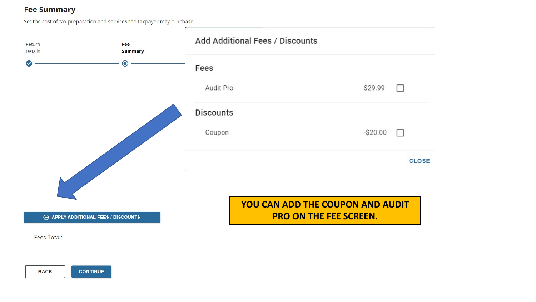### **Fee Summary**

Set the cost of tax preparation and services the taxpayer may purchase.

| Return<br><b>Details</b> | Fee<br><b>Summary</b>                        | Add Additional Fees / Discounts |                                  |              |
|--------------------------|----------------------------------------------|---------------------------------|----------------------------------|--------------|
|                          | $\bullet$                                    | Fees                            |                                  |              |
|                          |                                              | Audit Pro                       | \$29.99                          | П            |
|                          |                                              | <b>Discounts</b>                |                                  |              |
|                          |                                              | Coupon                          | $-$20.00$                        | $\Box$       |
|                          |                                              |                                 |                                  | <b>CLOSE</b> |
|                          |                                              |                                 | YOU CAN ADD THE COUPON AND AUDIT |              |
|                          | <b>(+) APPLY ADDITIONAL FEES / DISCOUNTS</b> |                                 | <b>PRO ON THE FEE SCREEN.</b>    |              |
| Fees Total:              |                                              |                                 |                                  |              |

**BACK CONTINUE**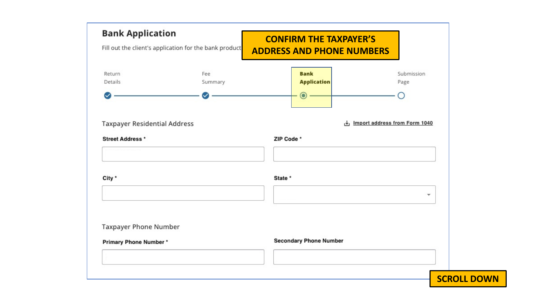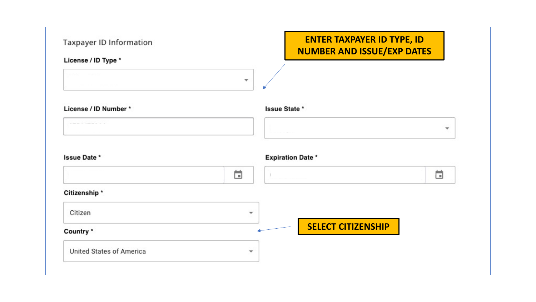| Taxpayer ID Information      | <b>ENTER TAXPAYER ID TYPE, ID</b><br><b>NUMBER AND ISSUE/EXP DATES</b> |                          |
|------------------------------|------------------------------------------------------------------------|--------------------------|
| License / ID Type *          |                                                                        |                          |
|                              | $\overline{\phantom{a}}$                                               |                          |
| License / ID Number *        | <b>Issue State *</b>                                                   |                          |
|                              |                                                                        | $\overline{\phantom{a}}$ |
|                              |                                                                        |                          |
|                              | <b>Expiration Date *</b><br>茴                                          | ö                        |
| Issue Date *<br>Citizenship* |                                                                        |                          |
| Citizen                      | $\overline{\phantom{a}}$                                               |                          |
| Country *                    | <b>SELECT CITIZENSHIP</b>                                              |                          |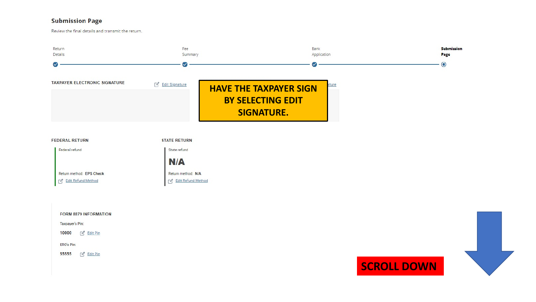#### **Submission Page**

Review the final details and transmit the return.



State refund

 $N/A$ 

Return method: N/A

Edit Refund Method

Federal refund

Return method: EPS Check

For Edit Refund Method